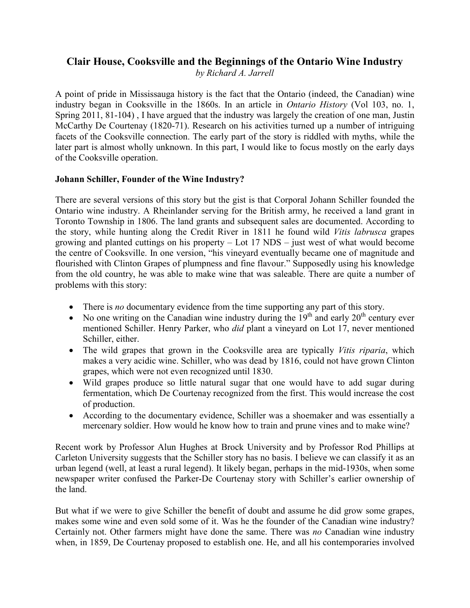# **Clair House, Cooksville and the Beginnings of the Ontario Wine Industry**

*by Richard A. Jarrell*

A point of pride in Mississauga history is the fact that the Ontario (indeed, the Canadian) wine industry began in Cooksville in the 1860s. In an article in *Ontario History* (Vol 103, no. 1, Spring 2011, 81-104) , I have argued that the industry was largely the creation of one man, Justin McCarthy De Courtenay (1820-71). Research on his activities turned up a number of intriguing facets of the Cooksville connection. The early part of the story is riddled with myths, while the later part is almost wholly unknown. In this part, I would like to focus mostly on the early days of the Cooksville operation.

## **Johann Schiller, Founder of the Wine Industry?**

There are several versions of this story but the gist is that Corporal Johann Schiller founded the Ontario wine industry. A Rheinlander serving for the British army, he received a land grant in Toronto Township in 1806. The land grants and subsequent sales are documented. According to the story, while hunting along the Credit River in 1811 he found wild *Vitis labrusca* grapes growing and planted cuttings on his property – Lot 17 NDS – just west of what would become the centre of Cooksville. In one version, "his vineyard eventually became one of magnitude and flourished with Clinton Grapes of plumpness and fine flavour." Supposedly using his knowledge from the old country, he was able to make wine that was saleable. There are quite a number of problems with this story:

- There is *no* documentary evidence from the time supporting any part of this story.
- No one writing on the Canadian wine industry during the  $19<sup>th</sup>$  and early  $20<sup>th</sup>$  century ever mentioned Schiller. Henry Parker, who *did* plant a vineyard on Lot 17, never mentioned Schiller, either.
- The wild grapes that grown in the Cooksville area are typically *Vitis riparia*, which makes a very acidic wine. Schiller, who was dead by 1816, could not have grown Clinton grapes, which were not even recognized until 1830.
- Wild grapes produce so little natural sugar that one would have to add sugar during fermentation, which De Courtenay recognized from the first. This would increase the cost of production.
- According to the documentary evidence, Schiller was a shoemaker and was essentially a mercenary soldier. How would he know how to train and prune vines and to make wine?

Recent work by Professor Alun Hughes at Brock University and by Professor Rod Phillips at Carleton University suggests that the Schiller story has no basis. I believe we can classify it as an urban legend (well, at least a rural legend). It likely began, perhaps in the mid-1930s, when some newspaper writer confused the Parker-De Courtenay story with Schiller's earlier ownership of the land.

But what if we were to give Schiller the benefit of doubt and assume he did grow some grapes, makes some wine and even sold some of it. Was he the founder of the Canadian wine industry? Certainly not. Other farmers might have done the same. There was *no* Canadian wine industry when, in 1859, De Courtenay proposed to establish one. He, and all his contemporaries involved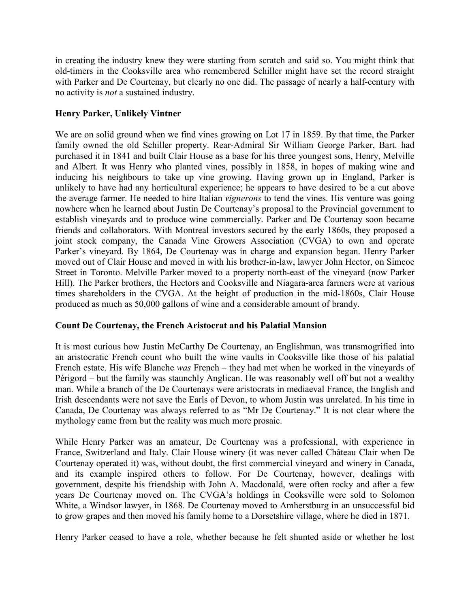in creating the industry knew they were starting from scratch and said so. You might think that old-timers in the Cooksville area who remembered Schiller might have set the record straight with Parker and De Courtenay, but clearly no one did. The passage of nearly a half-century with no activity is *not* a sustained industry.

# **Henry Parker, Unlikely Vintner**

We are on solid ground when we find vines growing on Lot 17 in 1859. By that time, the Parker family owned the old Schiller property. Rear-Admiral Sir William George Parker, Bart. had purchased it in 1841 and built Clair House as a base for his three youngest sons, Henry, Melville and Albert. It was Henry who planted vines, possibly in 1858, in hopes of making wine and inducing his neighbours to take up vine growing. Having grown up in England, Parker is unlikely to have had any horticultural experience; he appears to have desired to be a cut above the average farmer. He needed to hire Italian *vignerons* to tend the vines. His venture was going nowhere when he learned about Justin De Courtenay's proposal to the Provincial government to establish vineyards and to produce wine commercially. Parker and De Courtenay soon became friends and collaborators. With Montreal investors secured by the early 1860s, they proposed a joint stock company, the Canada Vine Growers Association (CVGA) to own and operate Parker's vineyard. By 1864, De Courtenay was in charge and expansion began. Henry Parker moved out of Clair House and moved in with his brother-in-law, lawyer John Hector, on Simcoe Street in Toronto. Melville Parker moved to a property north-east of the vineyard (now Parker Hill). The Parker brothers, the Hectors and Cooksville and Niagara-area farmers were at various times shareholders in the CVGA. At the height of production in the mid-1860s, Clair House produced as much as 50,000 gallons of wine and a considerable amount of brandy.

## **Count De Courtenay, the French Aristocrat and his Palatial Mansion**

It is most curious how Justin McCarthy De Courtenay, an Englishman, was transmogrified into an aristocratic French count who built the wine vaults in Cooksville like those of his palatial French estate. His wife Blanche *was* French – they had met when he worked in the vineyards of Périgord – but the family was staunchly Anglican. He was reasonably well off but not a wealthy man. While a branch of the De Courtenays were aristocrats in mediaeval France, the English and Irish descendants were not save the Earls of Devon, to whom Justin was unrelated. In his time in Canada, De Courtenay was always referred to as "Mr De Courtenay." It is not clear where the mythology came from but the reality was much more prosaic.

While Henry Parker was an amateur, De Courtenay was a professional, with experience in France, Switzerland and Italy. Clair House winery (it was never called Château Clair when De Courtenay operated it) was, without doubt, the first commercial vineyard and winery in Canada, and its example inspired others to follow. For De Courtenay, however, dealings with government, despite his friendship with John A. Macdonald, were often rocky and after a few years De Courtenay moved on. The CVGA's holdings in Cooksville were sold to Solomon White, a Windsor lawyer, in 1868. De Courtenay moved to Amherstburg in an unsuccessful bid to grow grapes and then moved his family home to a Dorsetshire village, where he died in 1871.

Henry Parker ceased to have a role, whether because he felt shunted aside or whether he lost